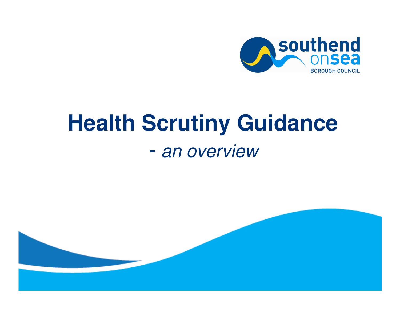

# **Health Scrutiny Guidance** - an overview

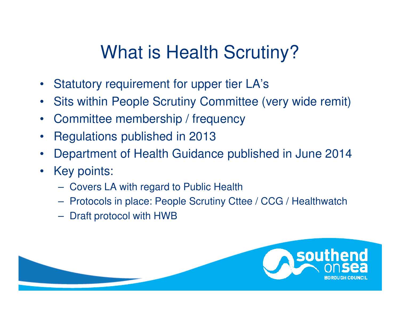## What is Health Scrutiny?

- $\bullet$ Statutory requirement for upper tier LA's
- $\bullet$ Sits within People Scrutiny Committee (very wide remit)
- •Committee membership / frequency
- $\bullet$ Regulations published in 2013
- •Department of Health Guidance published in June 2014
- $\bullet$ Key points:
	- Covers LA with regard to Public Health
	- **Hart Communication** – Protocols in place: People Scrutiny Cttee / CCG / Healthwatch
	- **Hart Communication**  $-$  Draft protocol with HWB

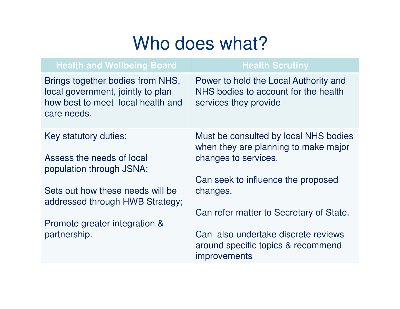## Who does what?

| <b>Health and Wellbeing Board</b>                                                                                         | <b>Health Scrutiny</b>                                                                                 |
|---------------------------------------------------------------------------------------------------------------------------|--------------------------------------------------------------------------------------------------------|
| Brings together bodies from NHS,<br>local government, jointly to plan<br>how best to meet local health and<br>care needs. | Power to hold the Local Authority and<br>NHS bodies to account for the health<br>services they provide |
| Key statutory duties:<br>Assess the needs of local<br>population through JSNA;                                            | Must be consulted by local NHS bodies<br>when they are planning to make major<br>changes to services.  |
| Sets out how these needs will be<br>addressed through HWB Strategy;                                                       | Can seek to influence the proposed<br>changes.<br>Can refer matter to Secretary of State.              |
| Promote greater integration &<br>partnership.                                                                             | Can also undertake discrete reviews<br>around specific topics & recommend<br><i>improvements</i>       |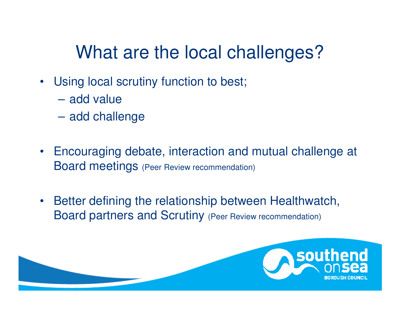## What are the local challenges?

- Using local scrutiny function to best;
	- add value
	- $\mathcal{L}_{\mathcal{A}}$  , and the set of  $\mathcal{L}_{\mathcal{A}}$ add challenge
- $\bullet$  Encouraging debate, interaction and mutual challenge at Board meetings (Peer Review recommendation)
- • Better defining the relationship between Healthwatch, Board partners and Scrutiny (Peer Review recommendation)